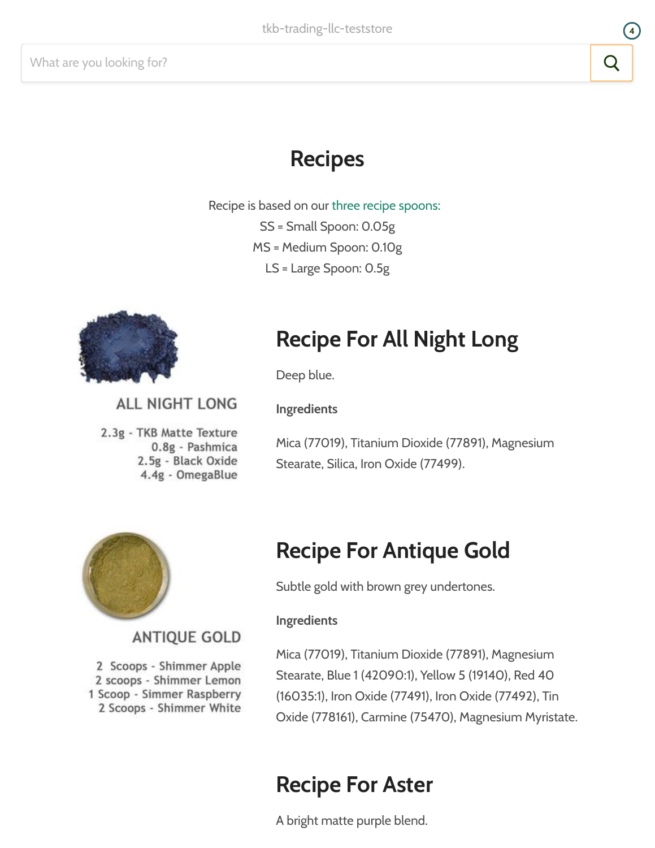# Recipes

Recipe is based on our three recipe [spoons:](https://tkbtrading.com/products/set-of-3-recipe-scoops) SS = Small Spoon: 0.05g MS = Medium Spoon: 0.10g LS = Large Spoon: 0.5g



# Recipe For All Night Long

Deep blue.

Ingredients

**ALL NIGHT LONG** 

2.3g - TKB Matte Texture 0.8g - Pashmica 2.5g - Black Oxide 4.4g - OmegaBlue

**ANTIQUE GOLD** 

2 Scoops - Shimmer Apple 2 scoops - Shimmer Lemon 1 Scoop - Simmer Raspberry 2 Scoops - Shimmer White

Mica (77019), Titanium Dioxide (77891), Magnesium Stearate, Silica, Iron Oxide (77499).



# Recipe For Antique Gold

Subtle gold with brown grey undertones.

#### Ingredients

Mica (77019), Titanium Dioxide (77891), Magnesium Stearate, Blue 1 (42090:1), Yellow 5 (19140), Red 40 (16035:1), Iron Oxide (77491), Iron Oxide (77492), Tin Oxide (778161), Carmine (75470), Magnesium Myristate.

### Recipe For Aster

A bright matte purple blend.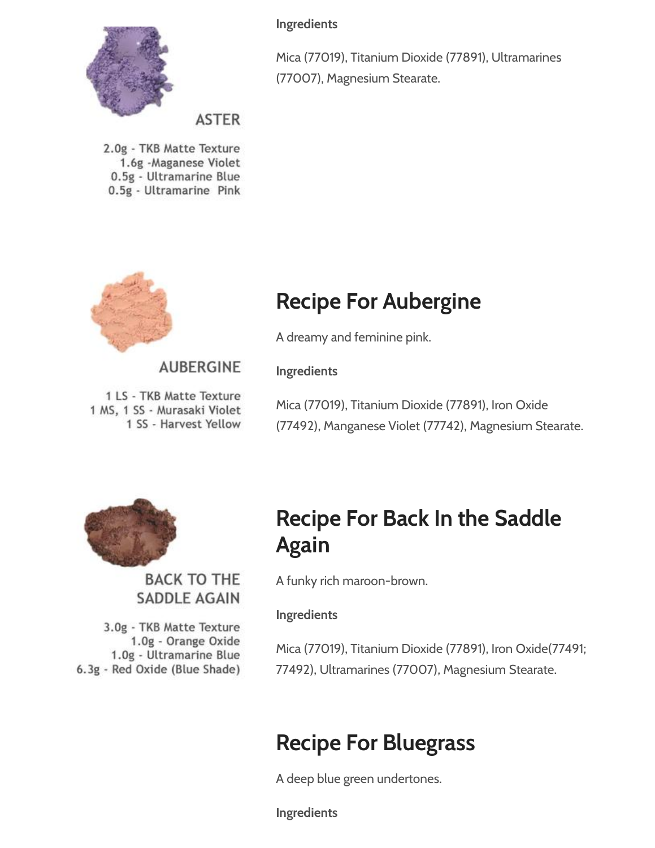

Ingredients

Mica (77019), Titanium Dioxide (77891), Ultramarines (77007), Magnesium Stearate.

**ASTER** 

2.0g - TKB Matte Texture 1.6g -Maganese Violet 0.5g - Ultramarine Blue 0.5g - Ultramarine Pink



# Recipe For Aubergine

A dreamy and feminine pink.

### **AUBERGINE**

1 LS - TKB Matte Texture 1 MS, 1 SS - Murasaki Violet 1 SS - Harvest Yellow

Mica (77019), Titanium Dioxide (77891), Iron Oxide (77492), Manganese Violet (77742), Magnesium Stearate.



**BACK TO THE SADDLE AGAIN** 

3.0g - TKB Matte Texture 1.0g - Orange Oxide 1.0g - Ultramarine Blue 6.3g - Red Oxide (Blue Shade)

# Recipe For Back In the Saddle Again

A funky rich maroon-brown.

### Ingredients

Ingredients

Mica (77019), Titanium Dioxide (77891), Iron Oxide(77491; 77492), Ultramarines (77007), Magnesium Stearate.

# Recipe For Bluegrass

A deep blue green undertones.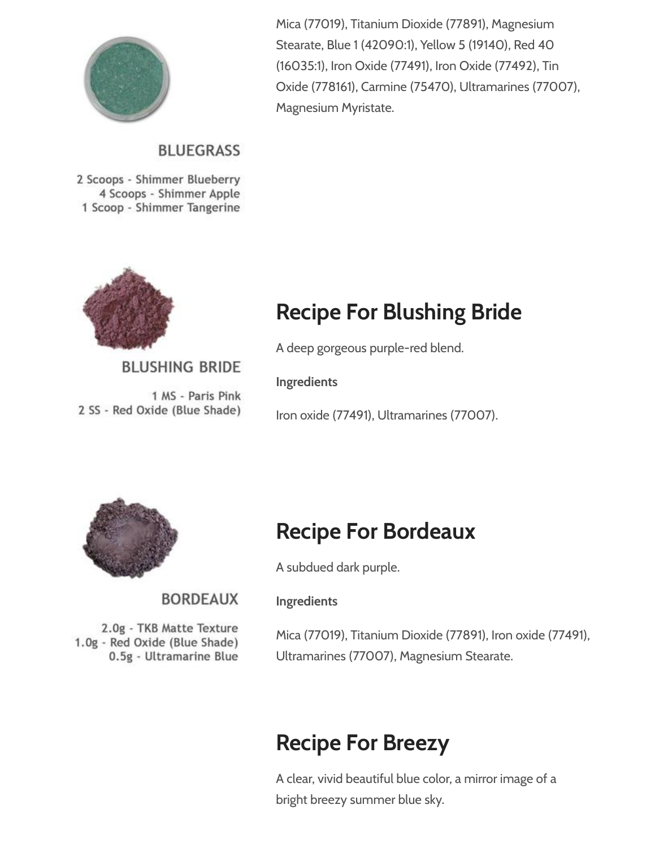

### **BLUEGRASS**

2 Scoops - Shimmer Blueberry 4 Scoops - Shimmer Apple 1 Scoop - Shimmer Tangerine



### **BLUSHING BRIDE**

1 MS - Paris Pink 2 SS - Red Oxide (Blue Shade) Mica (77019), Titanium Dioxide (77891), Magnesium Stearate, Blue 1 (42090:1), Yellow 5 (19140), Red 40 (16035:1), Iron Oxide (77491), Iron Oxide (77492), Tin Oxide (778161), Carmine (75470), Ultramarines (77007), Magnesium Myristate.

# Recipe For Blushing Bride

A deep gorgeous purple-red blend.

Ingredients

Iron oxide (77491), Ultramarines (77007).



**BORDFAUX** 

2.0g - TKB Matte Texture 1.0g - Red Oxide (Blue Shade) 0.5g - Ultramarine Blue

### Recipe For Bordeaux

A subdued dark purple.

#### Ingredients

Mica (77019), Titanium Dioxide (77891), Iron oxide (77491), Ultramarines (77007), Magnesium Stearate.

### Recipe For Breezy

A clear, vivid beautiful blue color, a mirror image of a bright breezy summer blue sky.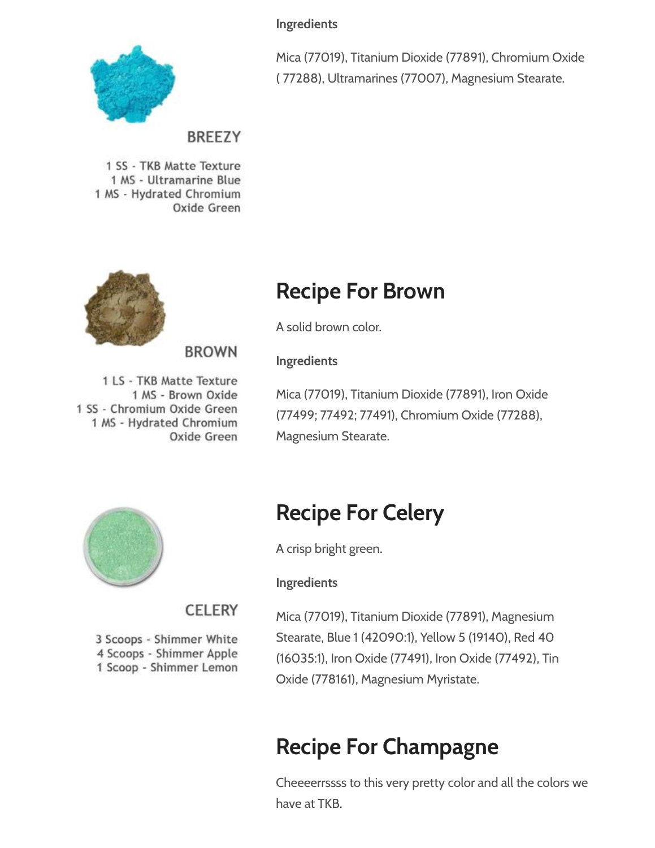Ingredients



Mica (77019), Titanium Dioxide (77891), Chromium Oxide ( 77288), Ultramarines (77007), Magnesium Stearate.

### **BREEZY**

**BROWN** 

CELERY

3 Scoops - Shimmer White 4 Scoops - Shimmer Apple 1 Scoop - Shimmer Lemon

1 SS - TKB Matte Texture 1 MS - Ultramarine Blue 1 MS - Hydrated Chromium Oxide Green



### Recipe For Brown

A solid brown color.

Ingredients

1 LS - TKB Matte Texture 1 MS - Brown Oxide 1 SS - Chromium Oxide Green 1 MS - Hydrated Chromium Oxide Green

Mica (77019), Titanium Dioxide (77891), Iron Oxide (77499; 77492; 77491), Chromium Oxide (77288), Magnesium Stearate.



# Recipe For Celery

A crisp bright green.

### Ingredients

Mica (77019), Titanium Dioxide (77891), Magnesium Stearate, Blue 1 (42090:1), Yellow 5 (19140), Red 40 (16035:1), Iron Oxide (77491), Iron Oxide (77492), Tin Oxide (778161), Magnesium Myristate.

# Recipe For Champagne

Cheeeerrssss to this very pretty color and all the colors we have at TKB.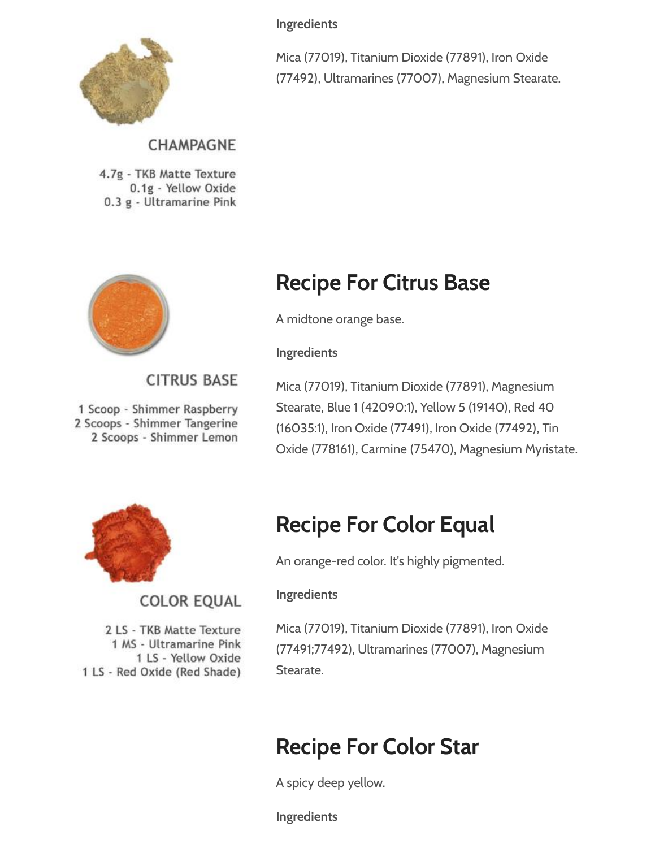

Ingredients

Mica (77019), Titanium Dioxide (77891), Iron Oxide (77492), Ultramarines (77007), Magnesium Stearate.

### CHAMPAGNE

4.7g - TKB Matte Texture 0.1g - Yellow Oxide 0.3 g - Ultramarine Pink



### Recipe For Citrus Base

A midtone orange base.

#### Ingredients

### **CITRUS BASE**

1 Scoop - Shimmer Raspberry 2 Scoops - Shimmer Tangerine 2 Scoops - Shimmer Lemon

Mica (77019), Titanium Dioxide (77891), Magnesium Stearate, Blue 1 (42090:1), Yellow 5 (19140), Red 40 (16035:1), Iron Oxide (77491), Iron Oxide (77492), Tin Oxide (778161), Carmine (75470), Magnesium Myristate.



2 LS - TKB Matte Texture 1 MS - Ultramarine Pink 1 LS - Yellow Oxide

**COLOR EQUAL** 

1 LS - Red Oxide (Red Shade)

# Recipe For Color Equal

An orange-red color. It's highly pigmented.

### Ingredients

Mica (77019), Titanium Dioxide (77891), Iron Oxide (77491;77492), Ultramarines (77007), Magnesium Stearate.

# Recipe For Color Star

A spicy deep yellow.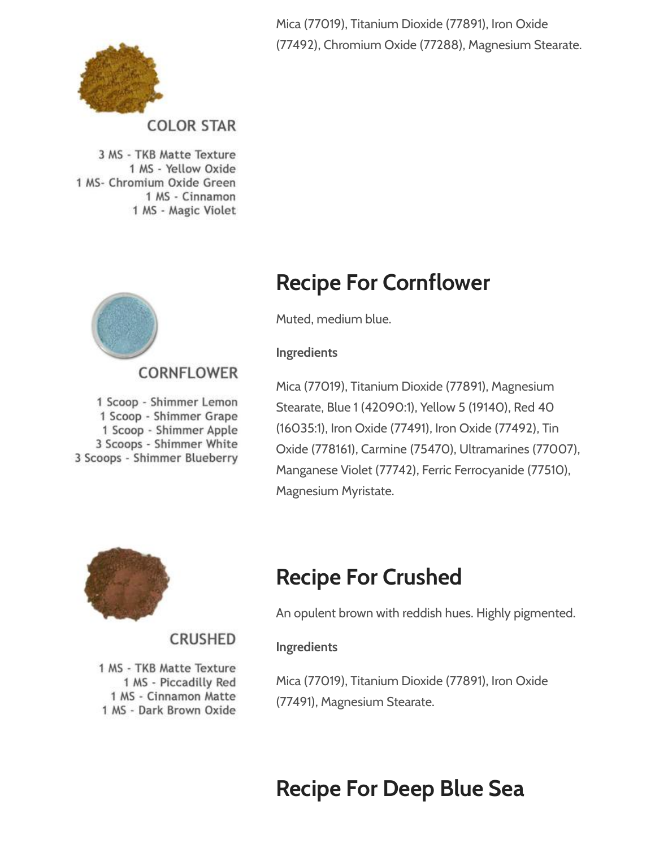Mica (77019), Titanium Dioxide (77891), Iron Oxide (77492), Chromium Oxide (77288), Magnesium Stearate.



**COLOR STAR** 

3 MS - TKB Matte Texture 1 MS - Yellow Oxide 1 MS- Chromium Oxide Green 1 MS - Cinnamon 1 MS - Magic Violet



### **CORNELOWER**

1 Scoop - Shimmer Lemon 1 Scoop - Shimmer Grape 1 Scoop - Shimmer Apple 3 Scoops - Shimmer White 3 Scoops - Shimmer Blueberry

# Recipe For Cornflower

Muted, medium blue.

#### Ingredients

Mica (77019), Titanium Dioxide (77891), Magnesium Stearate, Blue 1 (42090:1), Yellow 5 (19140), Red 40 (16035:1), Iron Oxide (77491), Iron Oxide (77492), Tin Oxide (778161), Carmine (75470), Ultramarines (77007), Manganese Violet (77742), Ferric Ferrocyanide (77510), Magnesium Myristate.



# Recipe For Crushed

An opulent brown with reddish hues. Highly pigmented.

### Ingredients

1 MS - TKB Matte Texture 1 MS - Piccadilly Red 1 MS - Cinnamon Matte 1 MS - Dark Brown Oxide

**CRUSHED** 

### Mica (77019), Titanium Dioxide (77891), Iron Oxide (77491), Magnesium Stearate.

# Recipe For Deep Blue Sea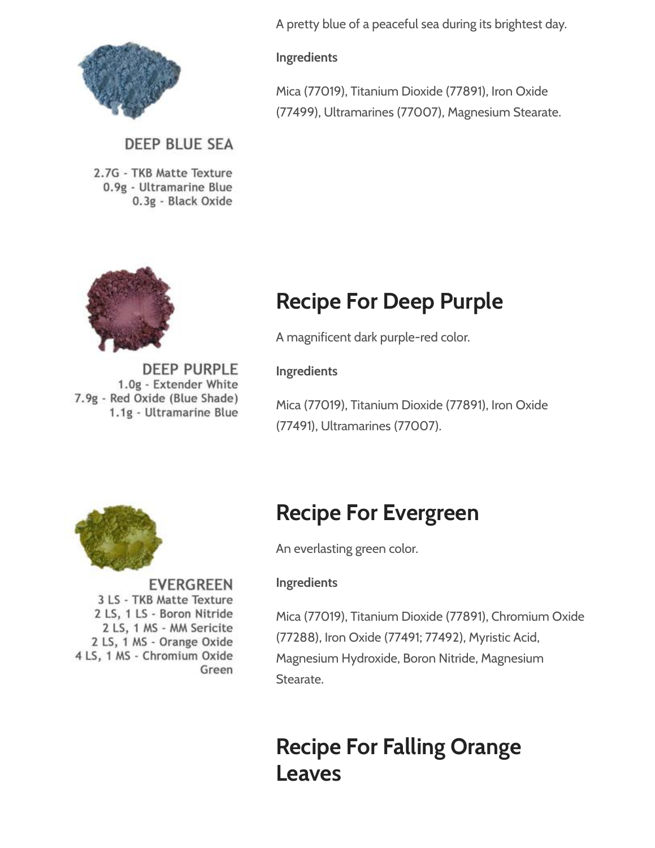

### **DEEP BLUE SEA**

**DEEP PURPLE** 

2.7G - TKB Matte Texture 0.9g - Ultramarine Blue 0.3g - Black Oxide



A pretty blue of a peaceful sea during its brightest day.

#### Ingredients

Mica (77019), Titanium Dioxide (77891), Iron Oxide (77499), Ultramarines (77007), Magnesium Stearate.

# Recipe For Deep Purple

A magnificent dark purple-red color.

Ingredients

1.0g - Extender White 7.9g - Red Oxide (Blue Shade) Mica (77019), Titanium Dioxide (77891), Iron Oxide 1.1g - Ultramarine Blue (77491), Ultramarines (77007).



**EVERGREEN** 3 LS - TKB Matte Texture 2 LS, 1 LS - Boron Nitride 2 LS, 1 MS - MM Sericite 2 LS, 1 MS - Orange Oxide 4 LS, 1 MS - Chromium Oxide Green

# Recipe For Evergreen

An everlasting green color.

#### Ingredients

Mica (77019), Titanium Dioxide (77891), Chromium Oxide (77288), Iron Oxide (77491; 77492), Myristic Acid, Magnesium Hydroxide, Boron Nitride, Magnesium Stearate.

# Recipe For Falling Orange Leaves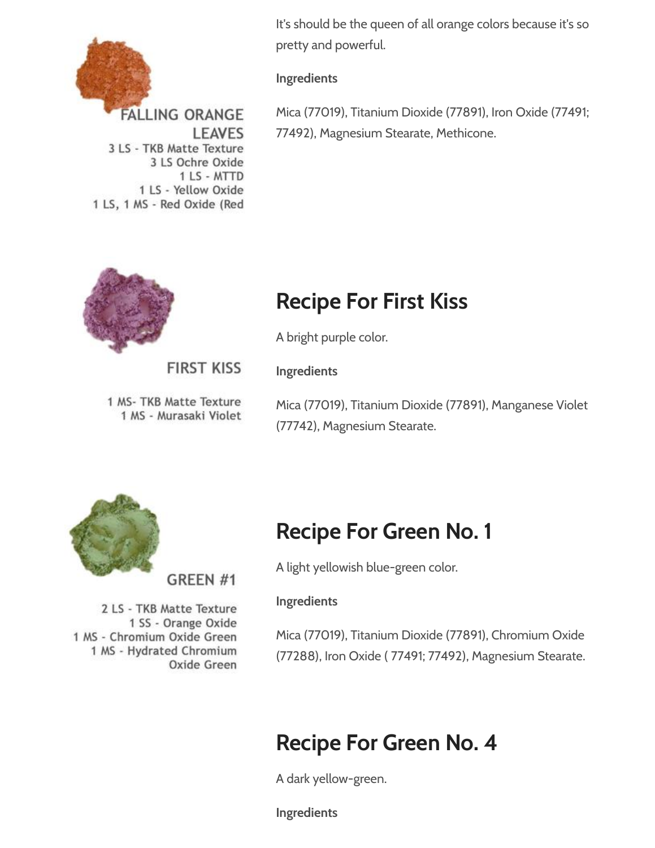

It's should be the queen of all orange colors because it's so pretty and powerful.

#### Ingredients

Mica (77019), Titanium Dioxide (77891), Iron Oxide (77491; 77492), Magnesium Stearate, Methicone.

# Recipe For First Kiss

A bright purple color.

Ingredients

**FIRST KISS** 

**LEAVES** 

3 LS - TKB Matte Texture

1 LS, 1 MS - Red Oxide (Red

3 LS Ochre Oxide 1 LS - MTTD

1 LS - Yellow Oxide

1 MS- TKB Matte Texture 1 MS - Murasaki Violet

Mica (77019), Titanium Dioxide (77891), Manganese Violet (77742), Magnesium Stearate.



GREEN<sub>#1</sub>

2 LS - TKB Matte Texture 1 SS - Orange Oxide 1 MS - Chromium Oxide Green 1 MS - Hydrated Chromium Oxide Green

### Recipe For Green No. 1

A light yellowish blue-green color.

### Ingredients

Mica (77019), Titanium Dioxide (77891), Chromium Oxide (77288), Iron Oxide ( 77491; 77492), Magnesium Stearate.

# Recipe For Green No. 4

A dark yellow-green.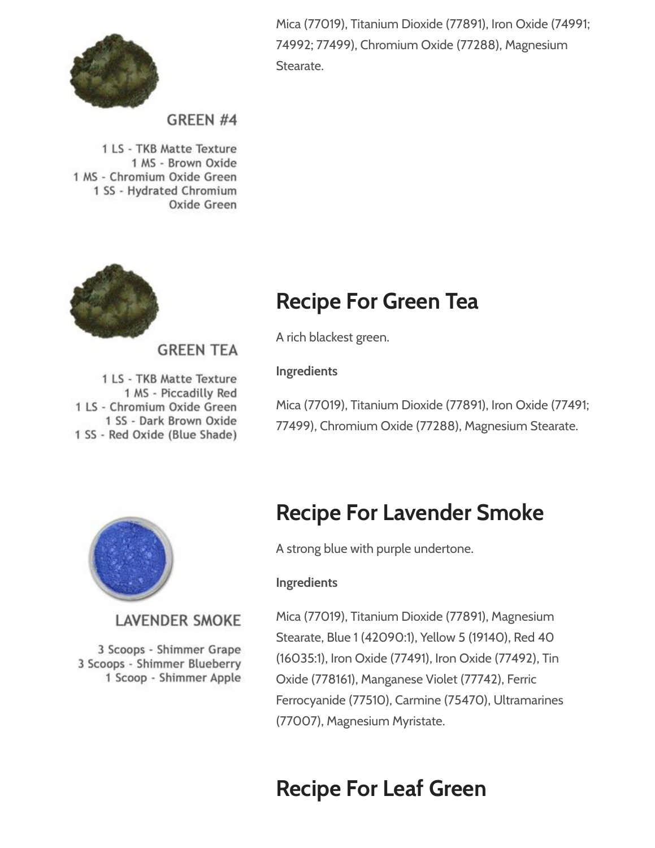

Mica (77019), Titanium Dioxide (77891), Iron Oxide (74991; 74992; 77499), Chromium Oxide (77288), Magnesium Stearate.

### GREEN #4

1 LS - TKB Matte Texture 1 MS - Brown Oxide 1 MS - Chromium Oxide Green 1 SS - Hydrated Chromium Oxide Green



### **GREEN TEA**

1 LS - TKB Matte Texture 1 MS - Piccadilly Red 1 LS - Chromium Oxide Green 1 SS - Dark Brown Oxide 1 SS - Red Oxide (Blue Shade)

### Recipe For Green Tea

A rich blackest green.

Ingredients

Mica (77019), Titanium Dioxide (77891), Iron Oxide (77491; 77499), Chromium Oxide (77288), Magnesium Stearate.



### **LAVENDER SMOKE**

3 Scoops - Shimmer Grape 3 Scoops - Shimmer Blueberry 1 Scoop - Shimmer Apple

### Recipe For Lavender Smoke

A strong blue with purple undertone.

#### Ingredients

Mica (77019), Titanium Dioxide (77891), Magnesium Stearate, Blue 1 (42090:1), Yellow 5 (19140), Red 40 (16035:1), Iron Oxide (77491), Iron Oxide (77492), Tin Oxide (778161), Manganese Violet (77742), Ferric Ferrocyanide (77510), Carmine (75470), Ultramarines (77007), Magnesium Myristate.

### Recipe For Leaf Green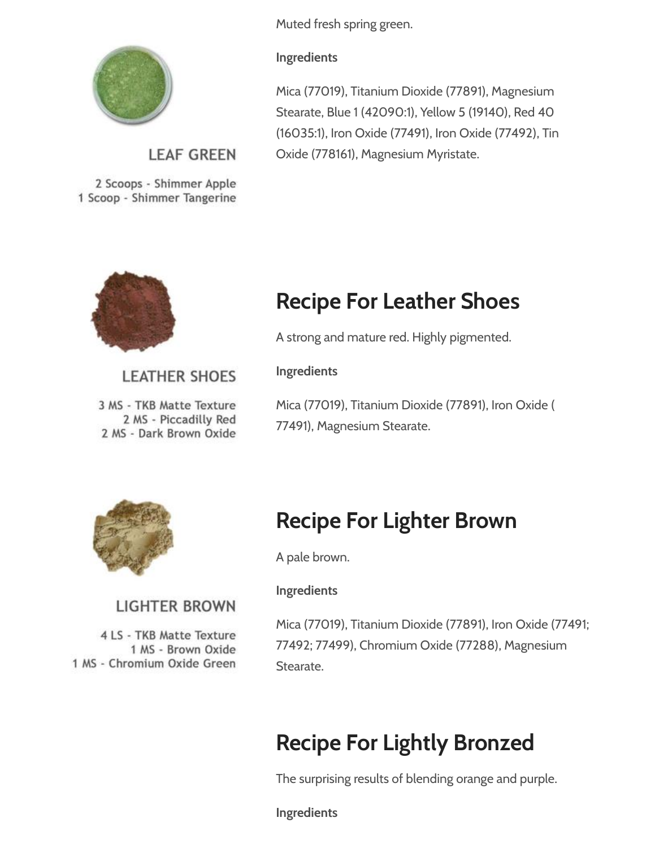

### **LEAF GREEN**

**LEATHER SHOES** 

3 MS - TKB Matte Texture 2 MS - Piccadilly Red 2 MS - Dark Brown Oxide

**LIGHTER BROWN** 

4 LS - TKB Matte Texture 1 MS - Brown Oxide

1 MS - Chromium Oxide Green

2 Scoops - Shimmer Apple 1 Scoop - Shimmer Tangerine



### Muted fresh spring green.

#### Ingredients

Mica (77019), Titanium Dioxide (77891), Magnesium Stearate, Blue 1 (42090:1), Yellow 5 (19140), Red 40 (16035:1), Iron Oxide (77491), Iron Oxide (77492), Tin Oxide (778161), Magnesium Myristate.

# Recipe For Leather Shoes

A strong and mature red. Highly pigmented.

Ingredients

Mica (77019), Titanium Dioxide (77891), Iron Oxide ( 77491), Magnesium Stearate.



# Recipe For Lighter Brown

A pale brown.

### Ingredients

Mica (77019), Titanium Dioxide (77891), Iron Oxide (77491; 77492; 77499), Chromium Oxide (77288), Magnesium Stearate.

# Recipe For Lightly Bronzed

The surprising results of blending orange and purple.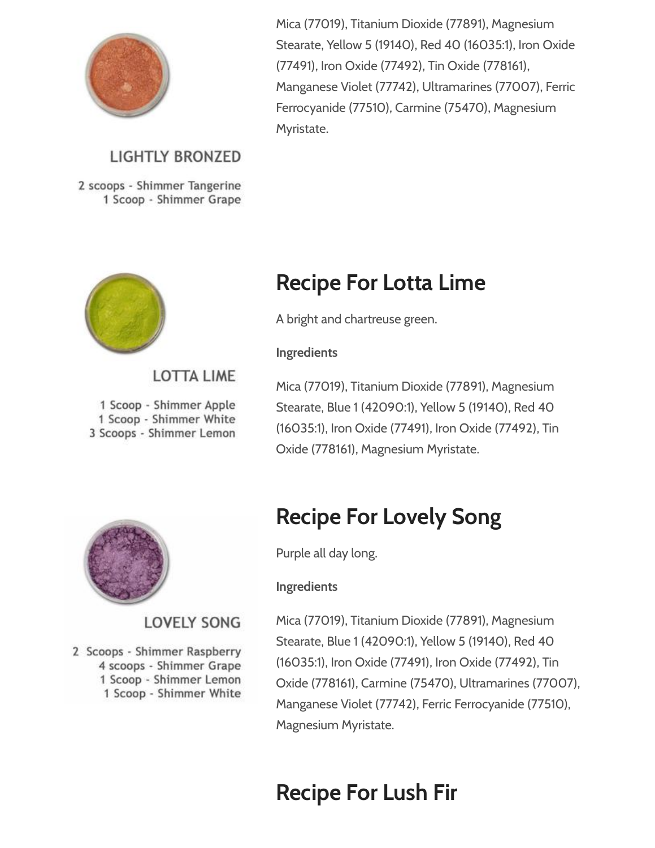

### **LIGHTLY BRONZED**

2 scoops - Shimmer Tangerine 1 Scoop - Shimmer Grape



### **LOTTA LIME**

1 Scoop - Shimmer Apple 1 Scoop - Shimmer White 3 Scoops - Shimmer Lemon

Mica (77019), Titanium Dioxide (77891), Magnesium Stearate, Yellow 5 (19140), Red 40 (16035:1), Iron Oxide (77491), Iron Oxide (77492), Tin Oxide (778161), Manganese Violet (77742), Ultramarines (77007), Ferric Ferrocyanide (77510), Carmine (75470), Magnesium Myristate.

## Recipe For Lotta Lime

A bright and chartreuse green.

#### **Ingredients**

Mica (77019), Titanium Dioxide (77891), Magnesium Stearate, Blue 1 (42090:1), Yellow 5 (19140), Red 40 (16035:1), Iron Oxide (77491), Iron Oxide (77492), Tin Oxide (778161), Magnesium Myristate.



### **LOVELY SONG**

2 Scoops - Shimmer Raspberry 4 scoops - Shimmer Grape 1 Scoop - Shimmer Lemon 1 Scoop - Shimmer White

# Recipe For Lovely Song

Purple all day long.

#### Ingredients

Mica (77019), Titanium Dioxide (77891), Magnesium Stearate, Blue 1 (42090:1), Yellow 5 (19140), Red 40 (16035:1), Iron Oxide (77491), Iron Oxide (77492), Tin Oxide (778161), Carmine (75470), Ultramarines (77007), Manganese Violet (77742), Ferric Ferrocyanide (77510), Magnesium Myristate.

# Recipe For Lush Fir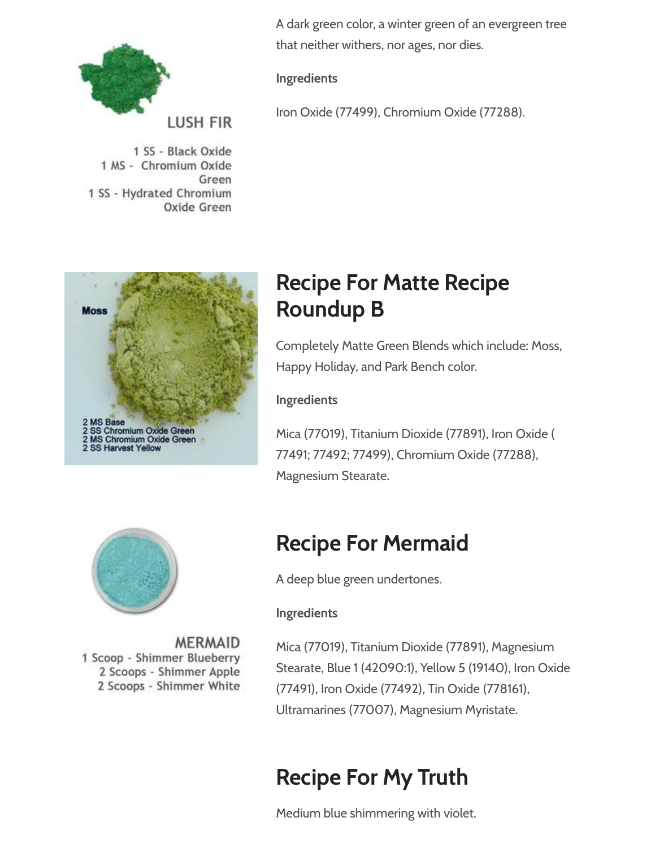

1 SS - Black Oxide 1 MS - Chromium Oxide Green 1 SS - Hydrated Chromium Oxide Green





**MERMAID** 1 Scoop - Shimmer Blueberry 2 Scoops - Shimmer Apple 2 Scoops - Shimmer White A dark green color, a winter green of an evergreen tree that neither withers, nor ages, nor dies.

### Ingredients

Iron Oxide (77499), Chromium Oxide (77288).

# Recipe For Matte Recipe Roundup B

Completely Matte Green Blends which include: Moss, Happy Holiday, and Park Bench color.

### Ingredients

Mica (77019), Titanium Dioxide (77891), Iron Oxide ( 77491; 77492; 77499), Chromium Oxide (77288), Magnesium Stearate.

# Recipe For Mermaid

A deep blue green undertones.

### Ingredients

Mica (77019), Titanium Dioxide (77891), Magnesium Stearate, Blue 1 (42090:1), Yellow 5 (19140), Iron Oxide (77491), Iron Oxide (77492), Tin Oxide (778161), Ultramarines (77007), Magnesium Myristate.

# Recipe For My Truth

Medium blue shimmering with violet.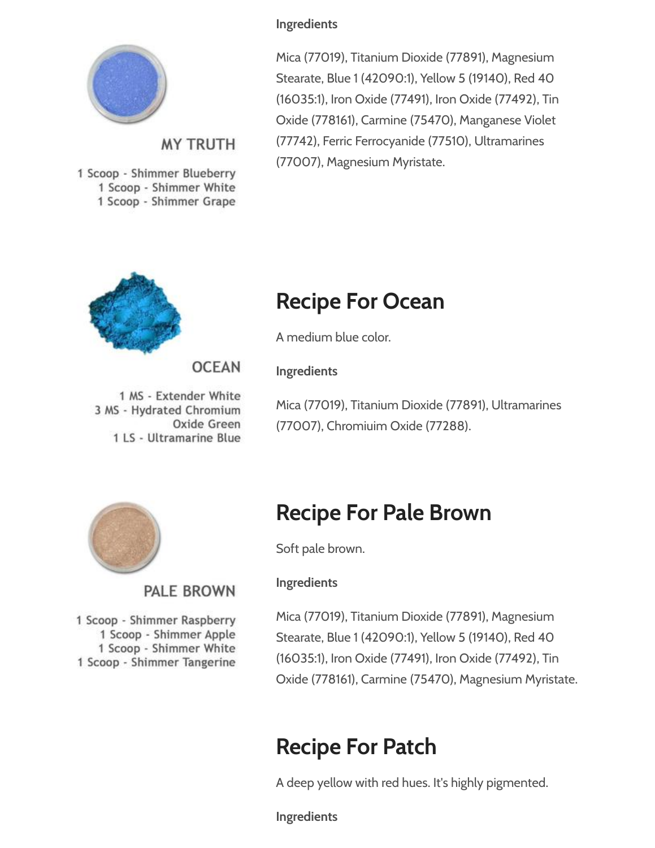

### **MY TRUTH**

1 Scoop - Shimmer Blueberry 1 Scoop - Shimmer White 1 Scoop - Shimmer Grape

# Recipe For Ocean

A medium blue color.

Ingredients

1 MS - Extender White 3 MS - Hydrated Chromium Oxide Green 1 LS - Ultramarine Blue

**OCEAN** 

Mica (77019), Titanium Dioxide (77891), Ultramarines (77007), Chromiuim Oxide (77288).



PALE BROWN

1 Scoop - Shimmer Raspberry 1 Scoop - Shimmer Apple 1 Scoop - Shimmer White 1 Scoop - Shimmer Tangerine

# Recipe For Pale Brown

Soft pale brown.

### Ingredients

Mica (77019), Titanium Dioxide (77891), Magnesium Stearate, Blue 1 (42090:1), Yellow 5 (19140), Red 40 (16035:1), Iron Oxide (77491), Iron Oxide (77492), Tin Oxide (778161), Carmine (75470), Magnesium Myristate.

# Recipe For Patch

A deep yellow with red hues. It's highly pigmented.

Ingredients

### Ingredients

Mica (77019), Titanium Dioxide (77891), Magnesium Stearate, Blue 1 (42090:1), Yellow 5 (19140), Red 40 (16035:1), Iron Oxide (77491), Iron Oxide (77492), Tin Oxide (778161), Carmine (75470), Manganese Violet (77742), Ferric Ferrocyanide (77510), Ultramarines (77007), Magnesium Myristate.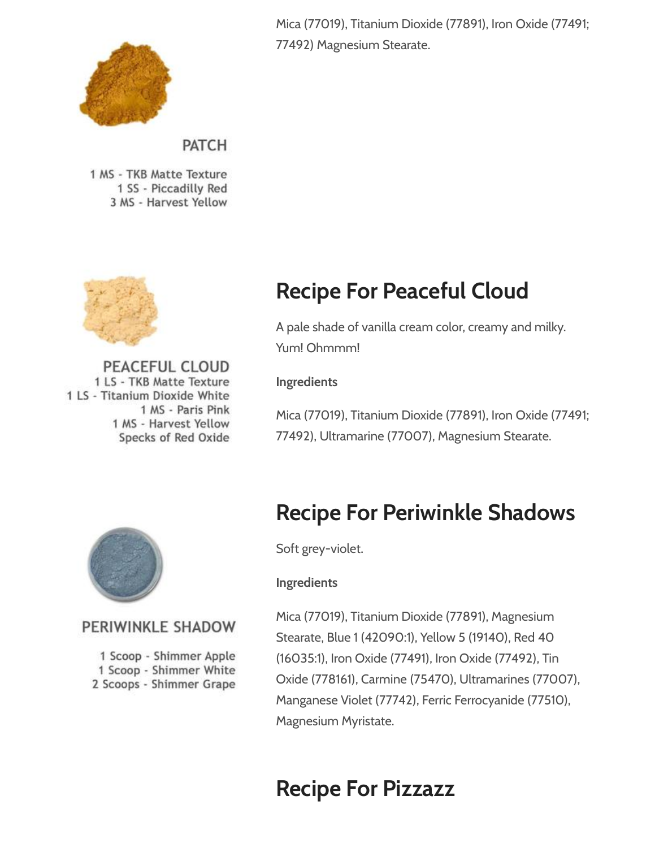

Mica (77019), Titanium Dioxide (77891), Iron Oxide (77491; 77492) Magnesium Stearate.

### **PATCH**

1 MS - TKB Matte Texture 1 SS - Piccadilly Red 3 MS - Harvest Yellow



PEACEFUL CLOUD 1 LS - TKB Matte Texture 1 LS - Titanium Dioxide White 1 MS - Paris Pink 1 MS - Harvest Yellow Specks of Red Oxide

# Recipe For Peaceful Cloud

A pale shade of vanilla cream color, creamy and milky. Yum! Ohmmm!

#### Ingredients

Mica (77019), Titanium Dioxide (77891), Iron Oxide (77491; 77492), Ultramarine (77007), Magnesium Stearate.



### PERIWINKLE SHADOW

1 Scoop - Shimmer Apple 1 Scoop - Shimmer White 2 Scoops - Shimmer Grape

### Recipe For Periwinkle Shadows

Soft grey-violet.

#### Ingredients

Mica (77019), Titanium Dioxide (77891), Magnesium Stearate, Blue 1 (42090:1), Yellow 5 (19140), Red 40 (16035:1), Iron Oxide (77491), Iron Oxide (77492), Tin Oxide (778161), Carmine (75470), Ultramarines (77007), Manganese Violet (77742), Ferric Ferrocyanide (77510), Magnesium Myristate.

### Recipe For Pizzazz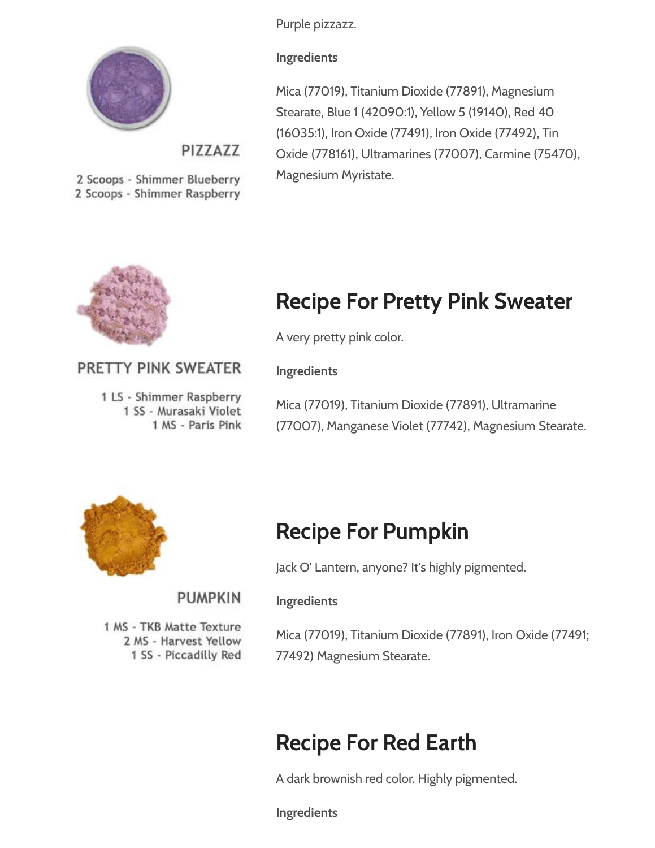Purple pizzazz.



PIZZAZZ

2 Scoops - Shimmer Blueberry 2 Scoops - Shimmer Raspberry **Ingredients** 

Mica (77019), Titanium Dioxide (77891), Magnesium Stearate, Blue 1 (42090:1), Yellow 5 (19140), Red 40 (16035:1), Iron Oxide (77491), Iron Oxide (77492), Tin Oxide (778161), Ultramarines (77007), Carmine (75470), Magnesium Myristate.



# Recipe For Pretty Pink Sweater

A very pretty pink color.

### PRETTY PINK SWEATER

1 LS - Shimmer Raspberry 1 SS - Murasaki Violet 1 MS - Paris Pink Ingredients

Mica (77019), Titanium Dioxide (77891), Ultramarine (77007), Manganese Violet (77742), Magnesium Stearate.



### Recipe For Pumpkin

Jack O' Lantern, anyone? It's highly pigmented.

### **PUMPKIN**

1 MS - TKB Matte Texture 2 MS - Harvest Yellow 1 SS - Piccadilly Red

Mica (77019), Titanium Dioxide (77891), Iron Oxide (77491; 77492) Magnesium Stearate.

# Recipe For Red Earth

A dark brownish red color. Highly pigmented.

Ingredients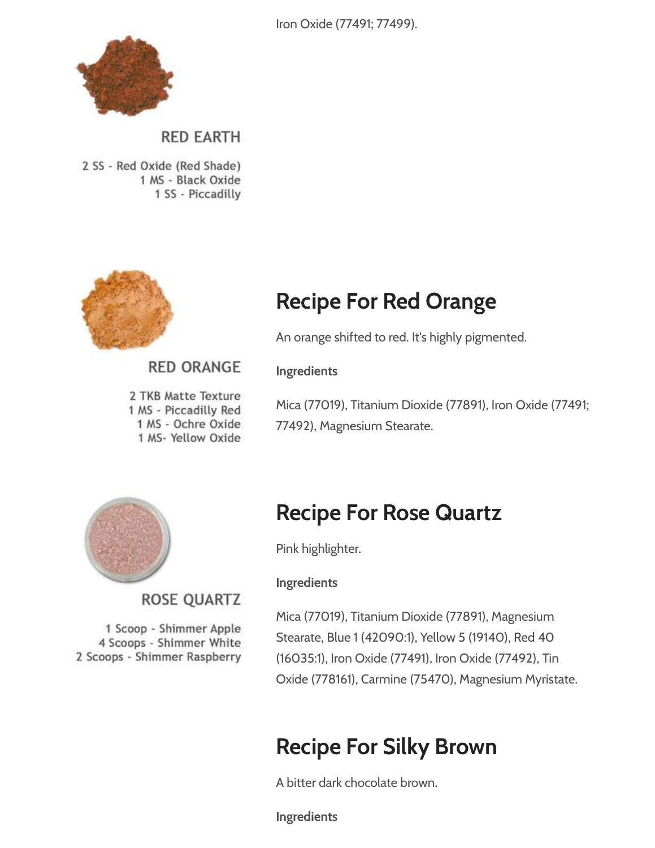Iron Oxide (77491; 77499).



**RED EARTH** 

2 SS - Red Oxide (Red Shade) 1 MS - Black Oxide 1 SS - Piccadilly



# Recipe For Red Orange

An orange shifted to red. It's highly pigmented.

### **RED ORANGE**

2 TKB Matte Texture 1 MS - Piccadilly Red 1 MS - Ochre Oxide 1 MS- Yellow Oxide

Mica (77019), Titanium Dioxide (77891), Iron Oxide (77491; 77492), Magnesium Stearate.



**ROSE QUARTZ** 

1 Scoop - Shimmer Apple 4 Scoops - Shimmer White 2 Scoops - Shimmer Raspberry

# Recipe For Rose Quartz

Pink highlighter.

#### Ingredients

Ingredients

Mica (77019), Titanium Dioxide (77891), Magnesium Stearate, Blue 1 (42090:1), Yellow 5 (19140), Red 40 (16035:1), Iron Oxide (77491), Iron Oxide (77492), Tin Oxide (778161), Carmine (75470), Magnesium Myristate.

# Recipe For Silky Brown

A bitter dark chocolate brown.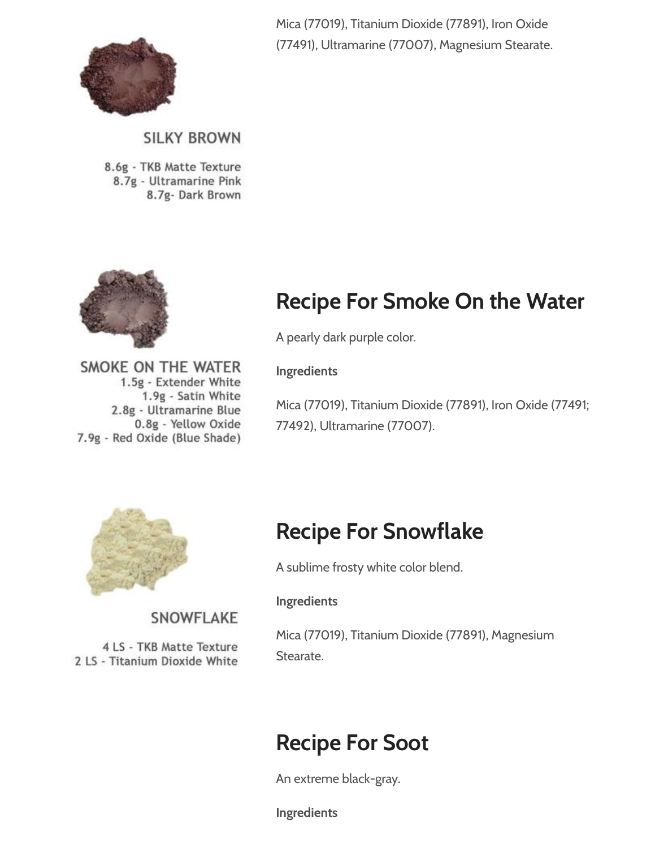

Mica (77019), Titanium Dioxide (77891), Iron Oxide (77491), Ultramarine (77007), Magnesium Stearate.

### **SILKY BROWN**

8.6g - TKB Matte Texture 8.7g - Ultramarine Pink 8.7g- Dark Brown

SMOKE ON THE WATER

7.9g - Red Oxide (Blue Shade)

1.5g - Extender White 1.9g - Satin White 2.8g - Ultramarine Blue 0.8g - Yellow Oxide



# Recipe For Smoke On the Water

A pearly dark purple color.

Ingredients

Mica (77019), Titanium Dioxide (77891), Iron Oxide (77491; 77492), Ultramarine (77007).



SNOWFLAKE

4 LS - TKB Matte Texture 2 LS - Titanium Dioxide White

### Recipe For Snowflake

A sublime frosty white color blend.

#### Ingredients

Mica (77019), Titanium Dioxide (77891), Magnesium Stearate.

### Recipe For Soot

An extreme black-gray.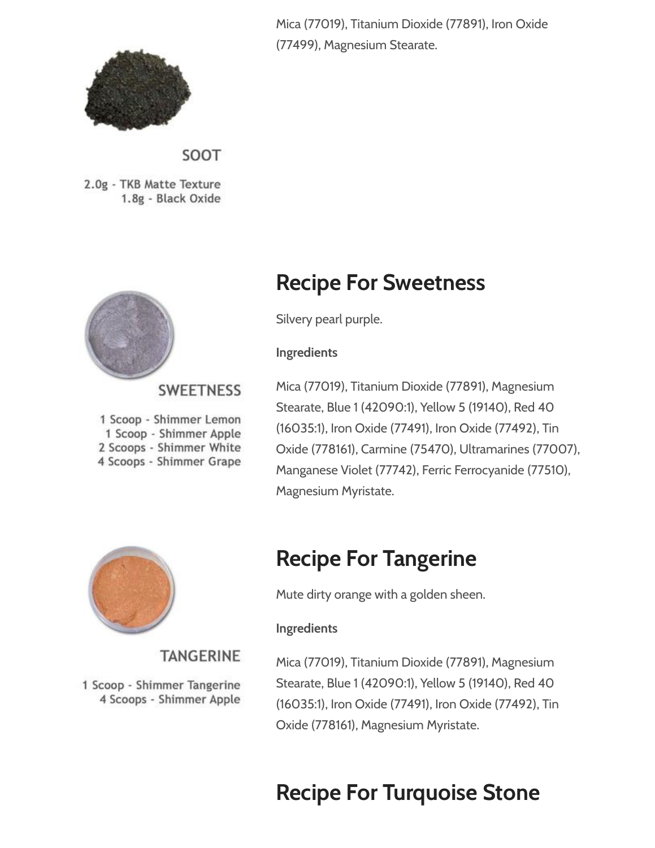

SOOT

2.0g - TKB Matte Texture 1.8g - Black Oxide



### **SWEETNESS**

**TANGERINE** 

1 Scoop - Shimmer Tangerine 4 Scoops - Shimmer Apple

1 Scoop - Shimmer Lemon 1 Scoop - Shimmer Apple 2 Scoops - Shimmer White 4 Scoops - Shimmer Grape

Mica (77019), Titanium Dioxide (77891), Iron Oxide (77499), Magnesium Stearate.

### Recipe For Sweetness

Silvery pearl purple.

#### Ingredients

Mica (77019), Titanium Dioxide (77891), Magnesium Stearate, Blue 1 (42090:1), Yellow 5 (19140), Red 40 (16035:1), Iron Oxide (77491), Iron Oxide (77492), Tin Oxide (778161), Carmine (75470), Ultramarines (77007), Manganese Violet (77742), Ferric Ferrocyanide (77510), Magnesium Myristate.



# Recipe For Tangerine

Mute dirty orange with a golden sheen.

### Ingredients

Mica (77019), Titanium Dioxide (77891), Magnesium Stearate, Blue 1 (42090:1), Yellow 5 (19140), Red 40 (16035:1), Iron Oxide (77491), Iron Oxide (77492), Tin Oxide (778161), Magnesium Myristate.

# Recipe For Turquoise Stone